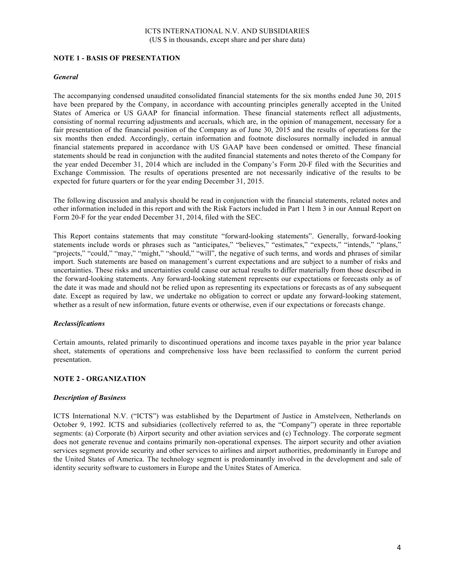## **NOTE 1 - BASIS OF PRESENTATION**

### *General*

The accompanying condensed unaudited consolidated financial statements for the six months ended June 30, 2015 have been prepared by the Company, in accordance with accounting principles generally accepted in the United States of America or US GAAP for financial information. These financial statements reflect all adjustments, consisting of normal recurring adjustments and accruals, which are, in the opinion of management, necessary for a fair presentation of the financial position of the Company as of June 30, 2015 and the results of operations for the six months then ended. Accordingly, certain information and footnote disclosures normally included in annual financial statements prepared in accordance with US GAAP have been condensed or omitted. These financial statements should be read in conjunction with the audited financial statements and notes thereto of the Company for the year ended December 31, 2014 which are included in the Company's Form 20-F filed with the Securities and Exchange Commission. The results of operations presented are not necessarily indicative of the results to be expected for future quarters or for the year ending December 31, 2015.

The following discussion and analysis should be read in conjunction with the financial statements, related notes and other information included in this report and with the Risk Factors included in Part 1 Item 3 in our Annual Report on Form 20-F for the year ended December 31, 2014, filed with the SEC.

This Report contains statements that may constitute "forward-looking statements". Generally, forward-looking statements include words or phrases such as "anticipates," "believes," "estimates," "expects," "intends," "plans," "projects," "could," "may," "might," "should," "will", the negative of such terms, and words and phrases of similar import. Such statements are based on management's current expectations and are subject to a number of risks and uncertainties. These risks and uncertainties could cause our actual results to differ materially from those described in the forward-looking statements. Any forward-looking statement represents our expectations or forecasts only as of the date it was made and should not be relied upon as representing its expectations or forecasts as of any subsequent date. Except as required by law, we undertake no obligation to correct or update any forward-looking statement, whether as a result of new information, future events or otherwise, even if our expectations or forecasts change.

#### *Reclassifications*

Certain amounts, related primarily to discontinued operations and income taxes payable in the prior year balance sheet, statements of operations and comprehensive loss have been reclassified to conform the current period presentation.

## **NOTE 2 - ORGANIZATION**

#### *Description of Business*

ICTS International N.V. ("ICTS") was established by the Department of Justice in Amstelveen, Netherlands on October 9, 1992. ICTS and subsidiaries (collectively referred to as, the "Company") operate in three reportable segments: (a) Corporate (b) Airport security and other aviation services and (c) Technology. The corporate segment does not generate revenue and contains primarily non-operational expenses. The airport security and other aviation services segment provide security and other services to airlines and airport authorities, predominantly in Europe and the United States of America. The technology segment is predominantly involved in the development and sale of identity security software to customers in Europe and the Unites States of America.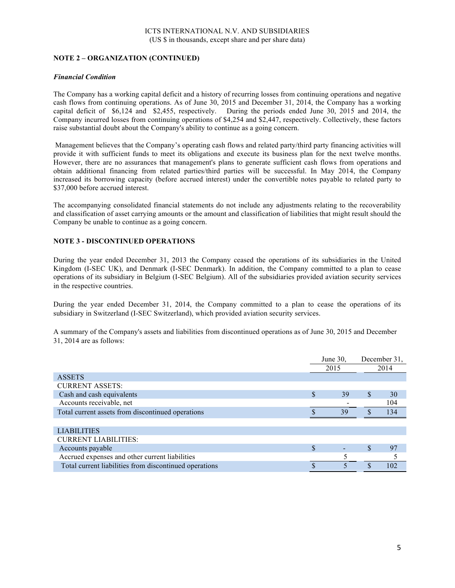# **NOTE 2 – ORGANIZATION (CONTINUED)**

### *Financial Condition*

The Company has a working capital deficit and a history of recurring losses from continuing operations and negative cash flows from continuing operations. As of June 30, 2015 and December 31, 2014, the Company has a working capital deficit of \$6,124 and \$2,455, respectively. During the periods ended June 30, 2015 and 2014, the Company incurred losses from continuing operations of \$4,254 and \$2,447, respectively. Collectively, these factors raise substantial doubt about the Company's ability to continue as a going concern.

Management believes that the Company's operating cash flows and related party/third party financing activities will provide it with sufficient funds to meet its obligations and execute its business plan for the next twelve months. However, there are no assurances that management's plans to generate sufficient cash flows from operations and obtain additional financing from related parties/third parties will be successful. In May 2014, the Company increased its borrowing capacity (before accrued interest) under the convertible notes payable to related party to \$37,000 before accrued interest.

The accompanying consolidated financial statements do not include any adjustments relating to the recoverability and classification of asset carrying amounts or the amount and classification of liabilities that might result should the Company be unable to continue as a going concern.

# **NOTE 3 - DISCONTINUED OPERATIONS**

During the year ended December 31, 2013 the Company ceased the operations of its subsidiaries in the United Kingdom (I-SEC UK), and Denmark (I-SEC Denmark). In addition, the Company committed to a plan to cease operations of its subsidiary in Belgium (I-SEC Belgium). All of the subsidiaries provided aviation security services in the respective countries.

During the year ended December 31, 2014, the Company committed to a plan to cease the operations of its subsidiary in Switzerland (I-SEC Switzerland), which provided aviation security services.

A summary of the Company's assets and liabilities from discontinued operations as of June 30, 2015 and December 31, 2014 are as follows:

|                                                        | June 30, |    | December 31, |      |
|--------------------------------------------------------|----------|----|--------------|------|
|                                                        | 2015     |    |              | 2014 |
| <b>ASSETS</b>                                          |          |    |              |      |
| <b>CURRENT ASSETS:</b>                                 |          |    |              |      |
| Cash and cash equivalents                              | \$       | 39 | \$           | 30   |
| Accounts receivable, net                               |          |    |              | 104  |
| Total current assets from discontinued operations      |          | 39 |              | 134  |
|                                                        |          |    |              |      |
| <b>LIABILITIES</b>                                     |          |    |              |      |
| <b>CURRENT LIABILITIES:</b>                            |          |    |              |      |
| Accounts payable                                       | \$       |    |              | 97   |
| Accrued expenses and other current liabilities         |          |    |              |      |
| Total current liabilities from discontinued operations |          |    |              | 102  |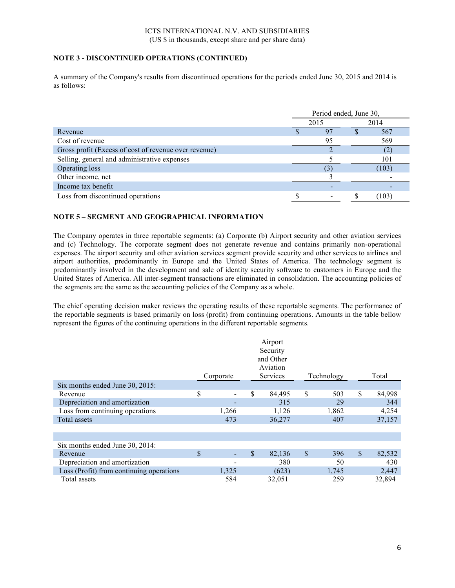# **NOTE 3 - DISCONTINUED OPERATIONS (CONTINUED)**

A summary of the Company's results from discontinued operations for the periods ended June 30, 2015 and 2014 is as follows:

|                                                       | Period ended, June 30, |    |  |       |
|-------------------------------------------------------|------------------------|----|--|-------|
|                                                       | 2015                   |    |  | 2014  |
| Revenue                                               |                        | 97 |  | 567   |
| Cost of revenue                                       |                        | 95 |  | 569   |
| Gross profit (Excess of cost of revenue over revenue) |                        |    |  | (2)   |
| Selling, general and administrative expenses          |                        |    |  | 101   |
| Operating loss                                        |                        |    |  | (103) |
| Other income, net                                     |                        |    |  |       |
| Income tax benefit                                    |                        |    |  |       |
| Loss from discontinued operations                     |                        |    |  | 103   |

# **NOTE 5 – SEGMENT AND GEOGRAPHICAL INFORMATION**

The Company operates in three reportable segments: (a) Corporate (b) Airport security and other aviation services and (c) Technology. The corporate segment does not generate revenue and contains primarily non-operational expenses. The airport security and other aviation services segment provide security and other services to airlines and airport authorities, predominantly in Europe and the United States of America. The technology segment is predominantly involved in the development and sale of identity security software to customers in Europe and the United States of America. All inter-segment transactions are eliminated in consolidation. The accounting policies of the segments are the same as the accounting policies of the Company as a whole.

The chief operating decision maker reviews the operating results of these reportable segments. The performance of the reportable segments is based primarily on loss (profit) from continuing operations. Amounts in the table bellow represent the figures of the continuing operations in the different reportable segments.

|                                          | Corporate | Airport<br>Security<br>and Other<br>Aviation<br><b>Services</b> | Technology |              | Total  |
|------------------------------------------|-----------|-----------------------------------------------------------------|------------|--------------|--------|
| Six months ended June 30, 2015:          |           |                                                                 |            |              |        |
| Revenue                                  | \$        | \$<br>84,495                                                    | \$<br>503  | \$           | 84,998 |
| Depreciation and amortization            |           | 315                                                             | 29         |              | 344    |
| Loss from continuing operations          | 1,266     | 1,126                                                           | 1,862      |              | 4,254  |
| Total assets                             | 473       | 36,277                                                          | 407        |              | 37,157 |
|                                          |           |                                                                 |            |              |        |
|                                          |           |                                                                 |            |              |        |
| Six months ended June 30, 2014:          |           |                                                                 |            |              |        |
| Revenue                                  | \$        | \$<br>82,136                                                    | \$<br>396  | $\mathbb{S}$ | 82,532 |
| Depreciation and amortization            |           | 380                                                             | 50         |              | 430    |
| Loss (Profit) from continuing operations | 1,325     | (623)                                                           | 1,745      |              | 2,447  |
| Total assets                             | 584       | 32,051                                                          | 259        |              | 32,894 |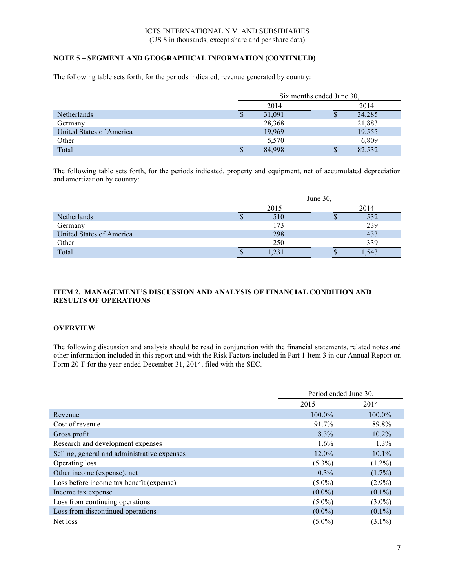# **NOTE 5 – SEGMENT AND GEOGRAPHICAL INFORMATION (CONTINUED)**

The following table sets forth, for the periods indicated, revenue generated by country:

|                          |             | Six months ended June 30, |  |  |  |
|--------------------------|-------------|---------------------------|--|--|--|
|                          | 2014        | 2014                      |  |  |  |
| <b>Netherlands</b>       | 31,091<br>S | 34,285<br>P               |  |  |  |
| Germany                  | 28,368      | 21,883                    |  |  |  |
| United States of America | 19,969      | 19,555                    |  |  |  |
| Other                    | 5,570       | 6,809                     |  |  |  |
| Total                    | 84,998<br>S | 82,532<br>S               |  |  |  |

The following table sets forth, for the periods indicated, property and equipment, net of accumulated depreciation and amortization by country:

|                          |   | June $30$ , |      |      |  |
|--------------------------|---|-------------|------|------|--|
|                          |   | 2015        | 2014 |      |  |
| Netherlands              | Φ | 510         | Φ    | 532  |  |
| Germany                  |   | 173         |      | 239  |  |
| United States of America |   | 298         |      | 433  |  |
| Other                    |   | 250         |      | 339  |  |
| Total                    |   |             | Φ    | .543 |  |

# **ITEM 2. MANAGEMENT'S DISCUSSION AND ANALYSIS OF FINANCIAL CONDITION AND RESULTS OF OPERATIONS**

## **OVERVIEW**

The following discussion and analysis should be read in conjunction with the financial statements, related notes and other information included in this report and with the Risk Factors included in Part 1 Item 3 in our Annual Report on Form 20-F for the year ended December 31, 2014, filed with the SEC.

|                                              | Period ended June 30, |           |  |
|----------------------------------------------|-----------------------|-----------|--|
|                                              | 2015                  | 2014      |  |
| Revenue                                      | 100.0%                | $100.0\%$ |  |
| Cost of revenue                              | 91.7%                 | 89.8%     |  |
| Gross profit                                 | $8.3\%$               | $10.2\%$  |  |
| Research and development expenses            | $1.6\%$               | $1.3\%$   |  |
| Selling, general and administrative expenses | $12.0\%$              | $10.1\%$  |  |
| Operating loss                               | $(5.3\%)$             | $(1.2\%)$ |  |
| Other income (expense), net                  | $0.3\%$               | $(1.7\%)$ |  |
| Loss before income tax benefit (expense)     | $(5.0\%)$             | $(2.9\%)$ |  |
| Income tax expense                           | $(0.0\%)$             | $(0.1\%)$ |  |
| Loss from continuing operations              | $(5.0\%)$             | $(3.0\%)$ |  |
| Loss from discontinued operations            | $(0.0\%)$             | $(0.1\%)$ |  |
| Net loss                                     | $(5.0\%)$             | $(3.1\%)$ |  |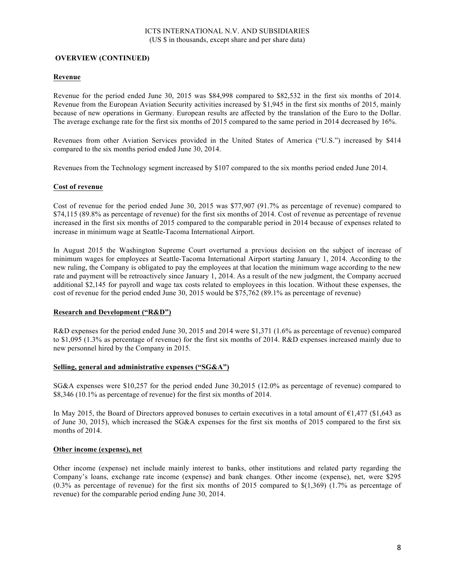### **OVERVIEW (CONTINUED)**

### **Revenue**

Revenue for the period ended June 30, 2015 was \$84,998 compared to \$82,532 in the first six months of 2014. Revenue from the European Aviation Security activities increased by \$1,945 in the first six months of 2015, mainly because of new operations in Germany. European results are affected by the translation of the Euro to the Dollar. The average exchange rate for the first six months of 2015 compared to the same period in 2014 decreased by 16%.

Revenues from other Aviation Services provided in the United States of America ("U.S.") increased by \$414 compared to the six months period ended June 30, 2014.

Revenues from the Technology segment increased by \$107 compared to the six months period ended June 2014.

### **Cost of revenue**

Cost of revenue for the period ended June 30, 2015 was \$77,907 (91.7% as percentage of revenue) compared to \$74,115 (89.8% as percentage of revenue) for the first six months of 2014. Cost of revenue as percentage of revenue increased in the first six months of 2015 compared to the comparable period in 2014 because of expenses related to increase in minimum wage at Seattle-Tacoma International Airport.

In August 2015 the Washington Supreme Court overturned a previous decision on the subject of increase of minimum wages for employees at Seattle-Tacoma International Airport starting January 1, 2014. According to the new ruling, the Company is obligated to pay the employees at that location the minimum wage according to the new rate and payment will be retroactively since January 1, 2014. As a result of the new judgment, the Company accrued additional \$2,145 for payroll and wage tax costs related to employees in this location. Without these expenses, the cost of revenue for the period ended June 30, 2015 would be \$75,762 (89.1% as percentage of revenue)

### **Research and Development ("R&D")**

R&D expenses for the period ended June 30, 2015 and 2014 were \$1,371 (1.6% as percentage of revenue) compared to \$1,095 (1.3% as percentage of revenue) for the first six months of 2014. R&D expenses increased mainly due to new personnel hired by the Company in 2015.

### **Selling, general and administrative expenses ("SG&A")**

SG&A expenses were \$10,257 for the period ended June 30,2015 (12.0% as percentage of revenue) compared to \$8,346 (10.1% as percentage of revenue) for the first six months of 2014.

In May 2015, the Board of Directors approved bonuses to certain executives in a total amount of  $\epsilon$ 1,477 (\$1,643 as of June 30, 2015), which increased the SG&A expenses for the first six months of 2015 compared to the first six months of 2014.

### **Other income (expense), net**

Other income (expense) net include mainly interest to banks, other institutions and related party regarding the Company's loans, exchange rate income (expense) and bank changes. Other income (expense), net, were \$295 (0.3% as percentage of revenue) for the first six months of 2015 compared to \$(1,369) (1.7% as percentage of revenue) for the comparable period ending June 30, 2014.